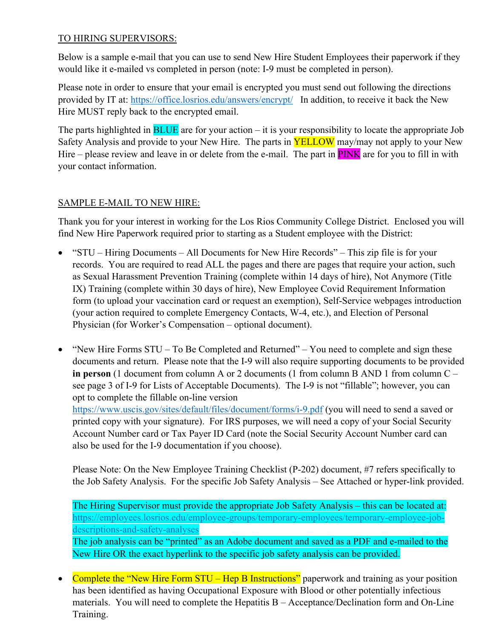## TO HIRING SUPERVISORS:

Below is a sample e-mail that you can use to send New Hire Student Employees their paperwork if they would like it e-mailed vs completed in person (note: I-9 must be completed in person).

Please note in order to ensure that your email is encrypted you must send out following the directions provided by IT at: https://office.losrios.edu/answers/encrypt/ In addition, to receive it back the New Hire MUST reply back to the encrypted email.

The parts highlighted in  $B LUE$  are for your action – it is your responsibility to locate the appropriate Job Safety Analysis and provide to your New Hire. The parts in **YELLOW** may/may not apply to your New Hire – please review and leave in or delete from the e-mail. The part in **PINK** are for you to fill in with your contact information.

## SAMPLE E-MAIL TO NEW HIRE:

Thank you for your interest in working for the Los Rios Community College District. Enclosed you will find New Hire Paperwork required prior to starting as a Student employee with the District:

- "STU Hiring Documents All Documents for New Hire Records" This zip file is for your records. You are required to read ALL the pages and there are pages that require your action, such as Sexual Harassment Prevention Training (complete within 14 days of hire), Not Anymore (Title IX) Training (complete within 30 days of hire), New Employee Covid Requirement Information form (to upload your vaccination card or request an exemption), Self-Service webpages introduction (your action required to complete Emergency Contacts, W-4, etc.), and Election of Personal Physician (for Worker's Compensation – optional document).
- "New Hire Forms STU To Be Completed and Returned" You need to complete and sign these documents and return. Please note that the I-9 will also require supporting documents to be provided **in person** (1 document from column A or 2 documents (1 from column B AND 1 from column C – see page 3 of I-9 for Lists of Acceptable Documents). The I-9 is not "fillable"; however, you can opt to complete the fillable on-line version https://www.uscis.gov/sites/default/files/document/forms/i-9.pdf (you will need to send a saved or

printed copy with your signature). For IRS purposes, we will need a copy of your Social Security Account Number card or Tax Payer ID Card (note the Social Security Account Number card can also be used for the I-9 documentation if you choose).

Please Note: On the New Employee Training Checklist (P-202) document, #7 refers specifically to the Job Safety Analysis. For the specific Job Safety Analysis – See Attached or hyper-link provided.

The Hiring Supervisor must provide the appropriate Job Safety Analysis – this can be located at: https://employees.losrios.edu/employee-groups/temporary-employees/temporary-employee-jobdescriptions-and-safety-analyses

The job analysis can be "printed" as an Adobe document and saved as a PDF and e-mailed to the New Hire OR the exact hyperlink to the specific job safety analysis can be provided.

 Complete the "New Hire Form STU – Hep B Instructions" paperwork and training as your position has been identified as having Occupational Exposure with Blood or other potentially infectious materials. You will need to complete the Hepatitis B – Acceptance/Declination form and On-Line Training.